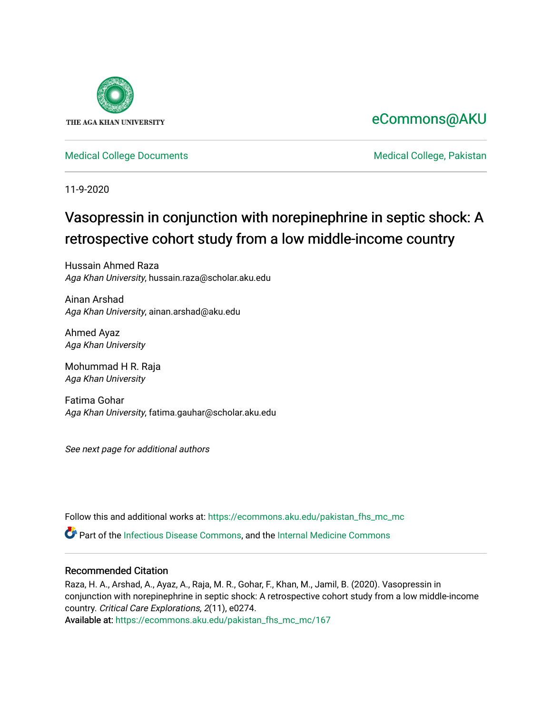

# [eCommons@AKU](https://ecommons.aku.edu/)

[Medical College Documents](https://ecommons.aku.edu/pakistan_fhs_mc_mc) **Medical College, Pakistan** 

11-9-2020

# Vasopressin in conjunction with norepinephrine in septic shock: A retrospective cohort study from a low middle-income country

Hussain Ahmed Raza Aga Khan University, hussain.raza@scholar.aku.edu

Ainan Arshad Aga Khan University, ainan.arshad@aku.edu

Ahmed Ayaz Aga Khan University

Mohummad H R. Raja Aga Khan University

Fatima Gohar Aga Khan University, fatima.gauhar@scholar.aku.edu

See next page for additional authors

Follow this and additional works at: [https://ecommons.aku.edu/pakistan\\_fhs\\_mc\\_mc](https://ecommons.aku.edu/pakistan_fhs_mc_mc?utm_source=ecommons.aku.edu%2Fpakistan_fhs_mc_mc%2F167&utm_medium=PDF&utm_campaign=PDFCoverPages) 

Part of the [Infectious Disease Commons,](http://network.bepress.com/hgg/discipline/689?utm_source=ecommons.aku.edu%2Fpakistan_fhs_mc_mc%2F167&utm_medium=PDF&utm_campaign=PDFCoverPages) and the [Internal Medicine Commons](http://network.bepress.com/hgg/discipline/1356?utm_source=ecommons.aku.edu%2Fpakistan_fhs_mc_mc%2F167&utm_medium=PDF&utm_campaign=PDFCoverPages)

# Recommended Citation

Raza, H. A., Arshad, A., Ayaz, A., Raja, M. R., Gohar, F., Khan, M., Jamil, B. (2020). Vasopressin in conjunction with norepinephrine in septic shock: A retrospective cohort study from a low middle-income country. Critical Care Explorations, 2(11), e0274.

Available at: [https://ecommons.aku.edu/pakistan\\_fhs\\_mc\\_mc/167](https://ecommons.aku.edu/pakistan_fhs_mc_mc/167)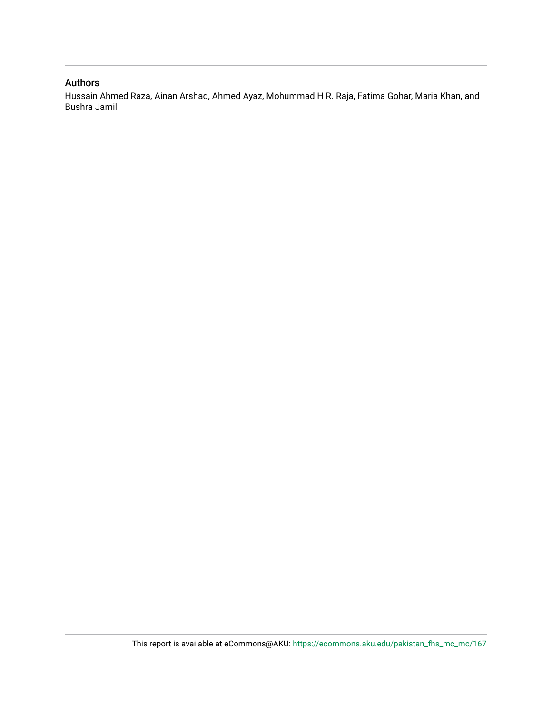### Authors

Hussain Ahmed Raza, Ainan Arshad, Ahmed Ayaz, Mohummad H R. Raja, Fatima Gohar, Maria Khan, and Bushra Jamil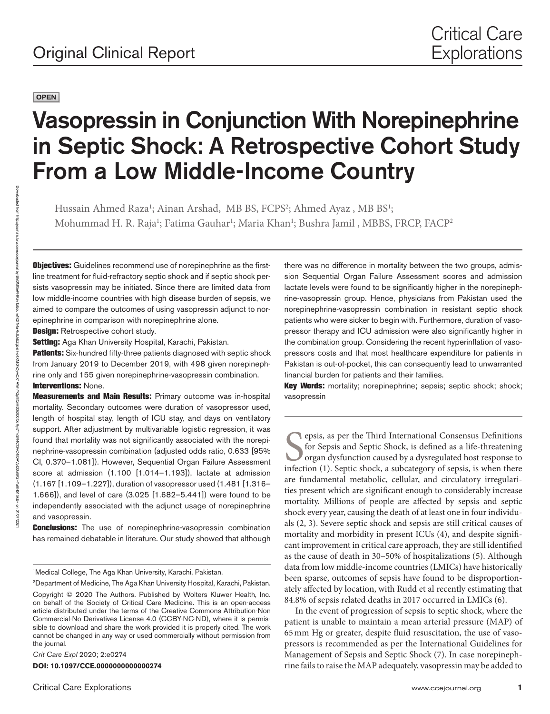#### **OPEN**

# Vasopressin in Conjunction With Norepinephrine in Septic Shock: A Retrospective Cohort Study From a Low Middle-Income Country

Hussain Ahmed Raza<sup>1</sup>; Ainan Arshad, MB BS, FCPS<sup>2</sup>; Ahmed Ayaz , MB BS<sup>1</sup>; Mohummad H. R. Raja<sup>1</sup>; Fatima Gauhar<sup>1</sup>; Maria Khan<sup>1</sup>; Bushra Jamil , MBBS, FRCP, FACP<sup>2</sup>

**Objectives:** Guidelines recommend use of norepinephrine as the firstline treatment for fluid-refractory septic shock and if septic shock persists vasopressin may be initiated. Since there are limited data from low middle-income countries with high disease burden of sepsis, we aimed to compare the outcomes of using vasopressin adjunct to norepinephrine in comparison with norepinephrine alone.

**Design:** Retrospective cohort study.

Setting: Aga Khan University Hospital, Karachi, Pakistan.

Patients: Six-hundred fifty-three patients diagnosed with septic shock from January 2019 to December 2019, with 498 given norepinephrine only and 155 given norepinephrine-vasopressin combination. Interventions: None.

Measurements and Main Results: Primary outcome was in-hospital mortality. Secondary outcomes were duration of vasopressor used, length of hospital stay, length of ICU stay, and days on ventilatory support. After adjustment by multivariable logistic regression, it was found that mortality was not significantly associated with the norepinephrine-vasopressin combination (adjusted odds ratio, 0.633 [95% CI, 0.370–1.081]). However, Sequential Organ Failure Assessment score at admission (1.100 [1.014–1.193]), lactate at admission (1.167 [1.109–1.227]), duration of vasopressor used (1.481 [1.316– 1.666]), and level of care (3.025 [1.682–5.441]) were found to be independently associated with the adjunct usage of norepinephrine and vasopressin.

**Conclusions:** The use of norepinephrine-vasopressin combination has remained debatable in literature. Our study showed that although

*Crit Care Expl* 2020; 2:e0274 **DOI: 10.1097/CCE.0000000000000274** there was no difference in mortality between the two groups, admission Sequential Organ Failure Assessment scores and admission lactate levels were found to be significantly higher in the norepinephrine-vasopressin group. Hence, physicians from Pakistan used the norepinephrine-vasopressin combination in resistant septic shock patients who were sicker to begin with. Furthermore, duration of vasopressor therapy and ICU admission were also significantly higher in the combination group. Considering the recent hyperinflation of vasopressors costs and that most healthcare expenditure for patients in Pakistan is out-of-pocket, this can consequently lead to unwarranted financial burden for patients and their families.

Key Words: mortality; norepinephrine; sepsis; septic shock; shock; vasopressin

**Exercise Septier Shock, and Septic Shock, is defined as a life-threatening** organ dysfunction caused by a dysregulated host response to infection (1). Septic shock, a subcategory of sepsis, is when there epsis, as per the Third International Consensus Definitions for Sepsis and Septic Shock, is defined as a life-threatening organ dysfunction caused by a dysregulated host response to are fundamental metabolic, cellular, and circulatory irregularities present which are significant enough to considerably increase mortality. Millions of people are affected by sepsis and septic shock every year, causing the death of at least one in four individuals (2, 3). Severe septic shock and sepsis are still critical causes of mortality and morbidity in present ICUs (4), and despite significant improvement in critical care approach, they are still identified as the cause of death in 30–50% of hospitalizations (5). Although data from low middle-income countries (LMICs) have historically been sparse, outcomes of sepsis have found to be disproportionately affected by location, with Rudd et al recently estimating that 84.8% of sepsis related deaths in 2017 occurred in LMICs (6).

In the event of progression of sepsis to septic shock, where the patient is unable to maintain a mean arterial pressure (MAP) of 65mm Hg or greater, despite fluid resuscitation, the use of vasopressors is recommended as per the International Guidelines for Management of Sepsis and Septic Shock (7). In case norepinephrine fails to raise the MAP adequately, vasopressin may be added to

<sup>&</sup>lt;sup>1</sup>Medical College, The Aga Khan University, Karachi, Pakistan.

<sup>2</sup>Department of Medicine, The Aga Khan University Hospital, Karachi, Pakistan. Copyright © 2020 The Authors. Published by Wolters Kluwer Health, Inc. on behalf of the Society of Critical Care Medicine. This is an open-access article distributed under the terms of the Creative Commons Attribution-Non Commercial-No Derivatives License 4.0 (CCBY-NC-ND), where it is permissible to download and share the work provided it is properly cited. The work cannot be changed in any way or used commercially without permission from the journal.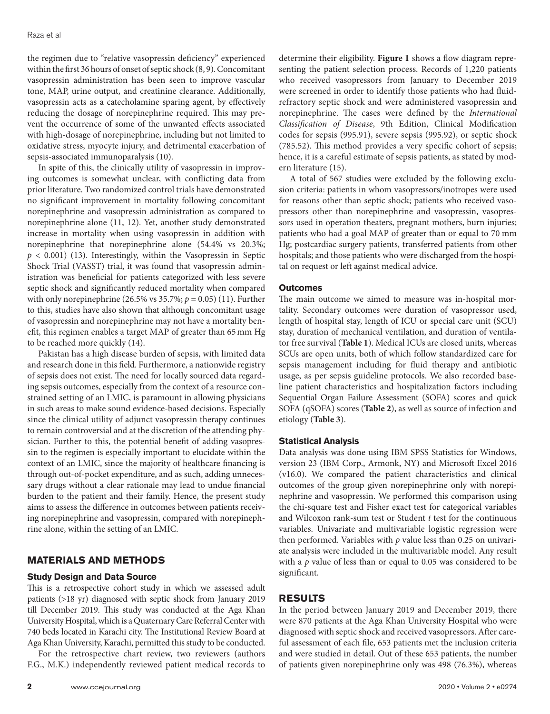the regimen due to "relative vasopressin deficiency" experienced within the first 36 hours of onset of septic shock (8, 9). Concomitant vasopressin administration has been seen to improve vascular tone, MAP, urine output, and creatinine clearance. Additionally, vasopressin acts as a catecholamine sparing agent, by effectively reducing the dosage of norepinephrine required. This may prevent the occurrence of some of the unwanted effects associated with high-dosage of norepinephrine, including but not limited to oxidative stress, myocyte injury, and detrimental exacerbation of sepsis-associated immunoparalysis (10).

In spite of this, the clinically utility of vasopressin in improving outcomes is somewhat unclear, with conflicting data from prior literature. Two randomized control trials have demonstrated no significant improvement in mortality following concomitant norepinephrine and vasopressin administration as compared to norepinephrine alone (11, 12). Yet, another study demonstrated increase in mortality when using vasopressin in addition with norepinephrine that norepinephrine alone (54.4% vs 20.3%;  $p < 0.001$ ) (13). Interestingly, within the Vasopressin in Septic Shock Trial (VASST) trial, it was found that vasopressin administration was beneficial for patients categorized with less severe septic shock and significantly reduced mortality when compared with only norepinephrine (26.5% vs 35.7%; *p* = 0.05) (11). Further to this, studies have also shown that although concomitant usage of vasopressin and norepinephrine may not have a mortality benefit, this regimen enables a target MAP of greater than 65mm Hg to be reached more quickly (14).

Pakistan has a high disease burden of sepsis, with limited data and research done in this field. Furthermore, a nationwide registry of sepsis does not exist. The need for locally sourced data regarding sepsis outcomes, especially from the context of a resource constrained setting of an LMIC, is paramount in allowing physicians in such areas to make sound evidence-based decisions. Especially since the clinical utility of adjunct vasopressin therapy continues to remain controversial and at the discretion of the attending physician. Further to this, the potential benefit of adding vasopressin to the regimen is especially important to elucidate within the context of an LMIC, since the majority of healthcare financing is through out-of-pocket expenditure, and as such, adding unnecessary drugs without a clear rationale may lead to undue financial burden to the patient and their family. Hence, the present study aims to assess the difference in outcomes between patients receiving norepinephrine and vasopressin, compared with norepinephrine alone, within the setting of an LMIC.

#### **MATERIALS AND METHODS**

#### **Study Design and Data Source**

This is a retrospective cohort study in which we assessed adult patients (>18 yr) diagnosed with septic shock from January 2019 till December 2019. This study was conducted at the Aga Khan University Hospital, which is a Quaternary Care Referral Center with 740 beds located in Karachi city. The Institutional Review Board at Aga Khan University, Karachi, permitted this study to be conducted.

For the retrospective chart review, two reviewers (authors F.G., M.K.) independently reviewed patient medical records to

determine their eligibility. **Figure 1** shows a flow diagram representing the patient selection process. Records of 1,220 patients who received vasopressors from January to December 2019 were screened in order to identify those patients who had fluidrefractory septic shock and were administered vasopressin and norepinephrine. The cases were defined by the *International Classification of Disease*, 9th Edition, Clinical Modification codes for sepsis (995.91), severe sepsis (995.92), or septic shock (785.52). This method provides a very specific cohort of sepsis; hence, it is a careful estimate of sepsis patients, as stated by modern literature (15).

A total of 567 studies were excluded by the following exclusion criteria: patients in whom vasopressors/inotropes were used for reasons other than septic shock; patients who received vasopressors other than norepinephrine and vasopressin, vasopressors used in operation theaters, pregnant mothers, burn injuries; patients who had a goal MAP of greater than or equal to 70 mm Hg; postcardiac surgery patients, transferred patients from other hospitals; and those patients who were discharged from the hospital on request or left against medical advice.

#### **Outcomes**

The main outcome we aimed to measure was in-hospital mortality. Secondary outcomes were duration of vasopressor used, length of hospital stay, length of ICU or special care unit (SCU) stay, duration of mechanical ventilation, and duration of ventilator free survival (**Table 1**). Medical ICUs are closed units, whereas SCUs are open units, both of which follow standardized care for sepsis management including for fluid therapy and antibiotic usage, as per sepsis guideline protocols. We also recorded baseline patient characteristics and hospitalization factors including Sequential Organ Failure Assessment (SOFA) scores and quick SOFA (qSOFA) scores (**Table 2**), as well as source of infection and etiology (**Table 3**).

#### **Statistical Analysis**

Data analysis was done using IBM SPSS Statistics for Windows, version 23 (IBM Corp., Armonk, NY) and Microsoft Excel 2016 (v16.0). We compared the patient characteristics and clinical outcomes of the group given norepinephrine only with norepinephrine and vasopressin. We performed this comparison using the chi-square test and Fisher exact test for categorical variables and Wilcoxon rank-sum test or Student *t* test for the continuous variables. Univariate and multivariable logistic regression were then performed. Variables with *p* value less than 0.25 on univariate analysis were included in the multivariable model. Any result with a *p* value of less than or equal to 0.05 was considered to be significant.

#### **RESULTS**

In the period between January 2019 and December 2019, there were 870 patients at the Aga Khan University Hospital who were diagnosed with septic shock and received vasopressors. After careful assessment of each file, 653 patients met the inclusion criteria and were studied in detail. Out of these 653 patients, the number of patients given norepinephrine only was 498 (76.3%), whereas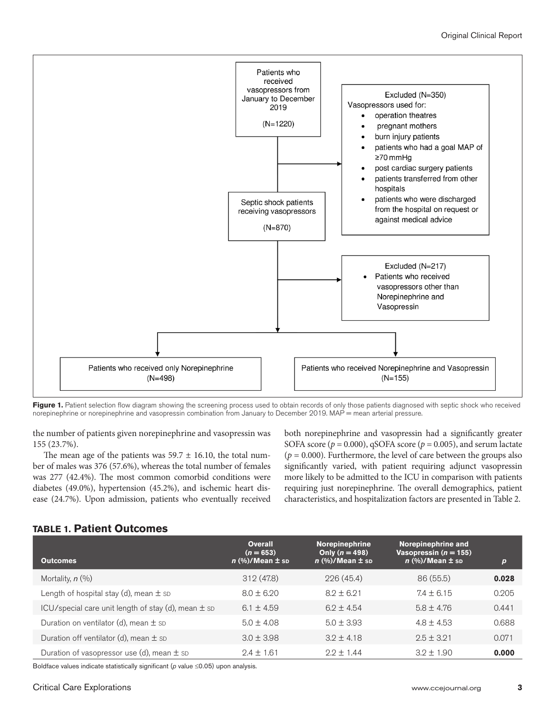

Figure 1. Patient selection flow diagram showing the screening process used to obtain records of only those patients diagnosed with septic shock who received norepinephrine or norepinephrine and vasopressin combination from January to December 2019. MAP = mean arterial pressure.

the number of patients given norepinephrine and vasopressin was 155 (23.7%).

The mean age of the patients was  $59.7 \pm 16.10$ , the total number of males was 376 (57.6%), whereas the total number of females was 277 (42.4%). The most common comorbid conditions were diabetes (49.0%), hypertension (45.2%), and ischemic heart disease (24.7%). Upon admission, patients who eventually received both norepinephrine and vasopressin had a significantly greater SOFA score ( $p = 0.000$ ), qSOFA score ( $p = 0.005$ ), and serum lactate  $(p = 0.000)$ . Furthermore, the level of care between the groups also significantly varied, with patient requiring adjunct vasopressin more likely to be admitted to the ICU in comparison with patients requiring just norepinephrine. The overall demographics, patient characteristics, and hospitalization factors are presented in Table 2.

## **TABLE 1. Patient Outcomes**

| <b>Outcomes</b>                                         | <b>Overall</b><br>$(n = 653)$<br>$n$ (%)/Mean $\pm$ sp | <b>Norepinephrine</b><br>Only $(n = 498)$<br>$n$ (%)/Mean $\pm$ sp | Norepinephrine and<br>Vasopressin ( $n = 155$ )<br>$n$ (%)/Mean $\pm$ sp | $\boldsymbol{p}$ |
|---------------------------------------------------------|--------------------------------------------------------|--------------------------------------------------------------------|--------------------------------------------------------------------------|------------------|
| Mortality, $n$ (%)                                      | 312 (47.8)                                             | 226(45.4)                                                          | 86 (55.5)                                                                | 0.028            |
| Length of hospital stay (d), mean $\pm$ sp              | $8.0 \pm 6.20$                                         | $8.2 \pm 6.21$                                                     | $7.4 \pm 6.15$                                                           | 0.205            |
| ICU/special care unit length of stay (d), mean $\pm$ sp | $6.1 \pm 4.59$                                         | $6.2 \pm 4.54$                                                     | $5.8 \pm 4.76$                                                           | 0.441            |
| Duration on ventilator (d), mean $\pm$ sp               | $5.0 \pm 4.08$                                         | $5.0 \pm 3.93$                                                     | $4.8 \pm 4.53$                                                           | 0.688            |
| Duration off ventilator (d), mean $\pm$ sp              | $3.0 \pm 3.98$                                         | $3.2 \pm 4.18$                                                     | $2.5 \pm 3.21$                                                           | 0.071            |
| Duration of vasopressor use (d), mean $\pm$ sp          | $2.4 \pm 1.61$                                         | $2.2 \pm 1.44$                                                     | $3.2 \pm 1.90$                                                           | 0.000            |

Boldface values indicate statistically significant (*p* value ≤0.05) upon analysis.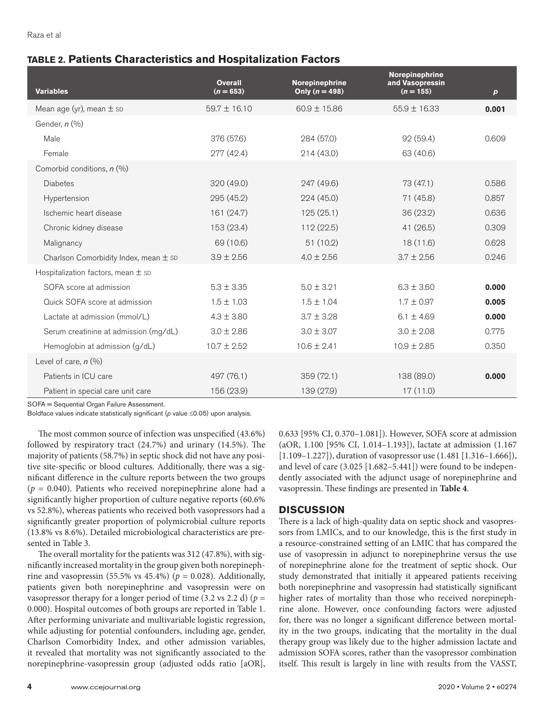# **TABLE 2. Patients Characteristics and Hospitalization Factors**

| <b>Variables</b>                          | <b>Overall</b><br>$(n = 653)$ | Norepinephrine<br>Only $(n = 498)$ | Norepinephrine<br>and Vasopressin<br>$(n = 155)$ | $\boldsymbol{p}$ |
|-------------------------------------------|-------------------------------|------------------------------------|--------------------------------------------------|------------------|
| Mean age (yr), mean $\pm$ sp              | $59.7 \pm 16.10$              | $60.9 \pm 15.86$                   | $55.9 \pm 16.33$                                 | 0.001            |
| Gender, $n$ $(\%)$                        |                               |                                    |                                                  |                  |
| Male                                      | 376 (57.6)                    | 284 (57.0)                         | 92(59.4)                                         | 0.609            |
| Female                                    | 277 (42.4)                    | 214 (43.0)                         | 63 (40.6)                                        |                  |
| Comorbid conditions, $n$ (%)              |                               |                                    |                                                  |                  |
| <b>Diabetes</b>                           | 320 (49.0)                    | 247 (49.6)                         | 73 (47.1)                                        | 0.586            |
| Hypertension                              | 295 (45.2)                    | 224(45.0)                          | 71(45.8)                                         | 0.857            |
| Ischemic heart disease                    | 161 (24.7)                    | 125(25.1)                          | 36 (23.2)                                        | 0.636            |
| Chronic kidney disease                    | 153 (23.4)                    | 112 (22.5)                         | 41 (26.5)                                        | 0.309            |
| Malignancy                                | 69 (10.6)                     | 51(10.2)                           | 18(11.6)                                         | 0.628            |
| Charlson Comorbidity Index, mean $\pm$ sp | $3.9 \pm 2.56$                | $4.0 \pm 2.56$                     | $3.7 \pm 2.56$                                   | 0.246            |
| Hospitalization factors, mean $\pm$ sp    |                               |                                    |                                                  |                  |
| SOFA score at admission                   | $5.3 \pm 3.35$                | $5.0 \pm 3.21$                     | $6.3 \pm 3.60$                                   | 0.000            |
| Quick SOFA score at admission             | $1.5 \pm 1.03$                | $1.5 \pm 1.04$                     | $1.7 \pm 0.97$                                   | 0.005            |
| Lactate at admission (mmol/L)             | $4.3 \pm 3.80$                | $3.7 \pm 3.28$                     | $6.1 \pm 4.69$                                   | 0.000            |
| Serum creatinine at admission (mg/dL)     | $3.0 \pm 2.86$                | $3.0 \pm 3.07$                     | $3.0 \pm 2.08$                                   | 0.775            |
| Hemoglobin at admission (g/dL)            | $10.7 \pm 2.52$               | $10.6 \pm 2.41$                    | $10.9 \pm 2.85$                                  | 0.350            |
| Level of care, $n$ $(\%)$                 |                               |                                    |                                                  |                  |
| Patients in ICU care                      | 497 (76.1)                    | 359 (72.1)                         | 138 (89.0)                                       | 0.000            |
| Patient in special care unit care         | 156 (23.9)                    | 139 (27.9)                         | 17(11.0)                                         |                  |

SOFA = Sequential Organ Failure Assessment.

Boldface values indicate statistically significant (*p* value ≤0.05) upon analysis.

The most common source of infection was unspecified (43.6%) followed by respiratory tract (24.7%) and urinary (14.5%). The majority of patients (58.7%) in septic shock did not have any positive site-specific or blood cultures. Additionally, there was a significant difference in the culture reports between the two groups  $(p = 0.040)$ . Patients who received norepinephrine alone had a significantly higher proportion of culture negative reports (60.6% vs 52.8%), whereas patients who received both vasopressors had a significantly greater proportion of polymicrobial culture reports (13.8% vs 8.6%). Detailed microbiological characteristics are presented in Table 3.

The overall mortality for the patients was 312 (47.8%), with significantly increased mortality in the group given both norepinephrine and vasopressin (55.5% vs 45.4%) ( $p = 0.028$ ). Additionally, patients given both norepinephrine and vasopressin were on vasopressor therapy for a longer period of time  $(3.2 \text{ vs } 2.2 \text{ d})$  ( $p =$ 0.000). Hospital outcomes of both groups are reported in Table 1. After performing univariate and multivariable logistic regression, while adjusting for potential confounders, including age, gender, Charlson Comorbidity Index, and other admission variables, it revealed that mortality was not significantly associated to the norepinephrine-vasopressin group (adjusted odds ratio [aOR],

0.633 [95% CI, 0.370–1.081]). However, SOFA score at admission (aOR, 1.100 [95% CI, 1.014–1.193]), lactate at admission (1.167 [1.109–1.227]), duration of vasopressor use (1.481 [1.316–1.666]), and level of care (3.025 [1.682–5.441]) were found to be independently associated with the adjunct usage of norepinephrine and vasopressin. These findings are presented in **Table 4**.

#### **DISCUSSION**

There is a lack of high-quality data on septic shock and vasopressors from LMICs, and to our knowledge, this is the first study in a resource-constrained setting of an LMIC that has compared the use of vasopressin in adjunct to norepinephrine versus the use of norepinephrine alone for the treatment of septic shock. Our study demonstrated that initially it appeared patients receiving both norepinephrine and vasopressin had statistically significant higher rates of mortality than those who received norepinephrine alone. However, once confounding factors were adjusted for, there was no longer a significant difference between mortality in the two groups, indicating that the mortality in the dual therapy group was likely due to the higher admission lactate and admission SOFA scores, rather than the vasopressor combination itself. This result is largely in line with results from the VASST,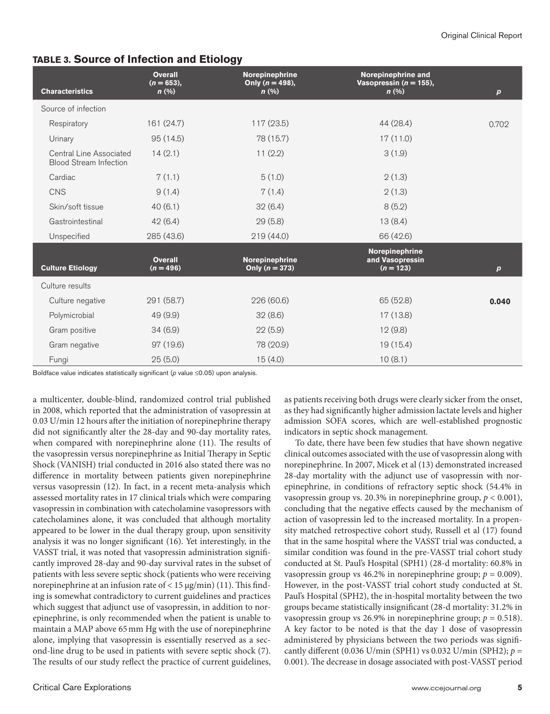# **TABLE 3. Source of Infection and Etiology**

| <b>Characteristics</b>                                   | <b>Overall</b><br>$(n = 653)$ ,<br>$n$ (%) | Norepinephrine<br>Only $(n = 498)$ ,<br>$n$ (%) | Norepinephrine and<br>Vasopressin ( $n = 155$ ),<br>$n$ (%) | $\boldsymbol{p}$ |
|----------------------------------------------------------|--------------------------------------------|-------------------------------------------------|-------------------------------------------------------------|------------------|
| Source of infection                                      |                                            |                                                 |                                                             |                  |
| Respiratory                                              | 161 (24.7)                                 | 117 (23.5)                                      | 44 (28.4)                                                   | 0.702            |
| Urinary                                                  | 95 (14.5)                                  | 78 (15.7)                                       | 17(11.0)                                                    |                  |
| Central Line Associated<br><b>Blood Stream Infection</b> | 14(2.1)                                    | 11(2.2)                                         | 3(1.9)                                                      |                  |
| Cardiac                                                  | 7(1.1)                                     | 5(1.0)                                          | 2(1.3)                                                      |                  |
| <b>CNS</b>                                               | 9(1.4)                                     | 7(1.4)                                          | 2(1.3)                                                      |                  |
| Skin/soft tissue                                         | 40(6.1)                                    | 32(6.4)                                         | 8(5.2)                                                      |                  |
| Gastrointestinal                                         | 42(6.4)                                    | 29(5.8)                                         | 13(8.4)                                                     |                  |
| Unspecified                                              | 285 (43.6)                                 | 219(44.0)                                       | 66 (42.6)                                                   |                  |
| <b>Culture Etiology</b>                                  | <b>Overall</b><br>$(n = 496)$              | Norepinephrine<br>Only $(n = 373)$              | Norepinephrine<br>and Vasopressin<br>$(n = 123)$            | $\boldsymbol{p}$ |
| Culture results                                          |                                            |                                                 |                                                             |                  |
| Culture negative                                         | 291 (58.7)                                 | 226 (60.6)                                      | 65 (52.8)                                                   | 0.040            |
| Polymicrobial                                            | 49 (9.9)                                   | 32(8.6)                                         | 17(13.8)                                                    |                  |
| Gram positive                                            | 34 (6.9)                                   | 22(5.9)                                         | 12(9.8)                                                     |                  |
| Gram negative                                            | 97 (19.6)                                  | 78 (20.9)                                       | 19(15.4)                                                    |                  |
| Fungi                                                    | 25(5.0)                                    | 15(4.0)                                         | 10(8.1)                                                     |                  |

Boldface value indicates statistically significant (*p* value ≤0.05) upon analysis.

a multicenter, double-blind, randomized control trial published in 2008, which reported that the administration of vasopressin at 0.03 U/min 12 hours after the initiation of norepinephrine therapy did not significantly alter the 28-day and 90-day mortality rates, when compared with norepinephrine alone (11). The results of the vasopressin versus norepinephrine as Initial Therapy in Septic Shock (VANISH) trial conducted in 2016 also stated there was no difference in mortality between patients given norepinephrine versus vasopressin (12). In fact, in a recent meta-analysis which assessed mortality rates in 17 clinical trials which were comparing vasopressin in combination with catecholamine vasopressors with catecholamines alone, it was concluded that although mortality appeared to be lower in the dual therapy group, upon sensitivity analysis it was no longer significant (16). Yet interestingly, in the VASST trial, it was noted that vasopressin administration significantly improved 28-day and 90-day survival rates in the subset of patients with less severe septic shock (patients who were receiving norepinephrine at an infusion rate of < 15 μg/min) (11). This finding is somewhat contradictory to current guidelines and practices which suggest that adjunct use of vasopressin, in addition to norepinephrine, is only recommended when the patient is unable to maintain a MAP above 65mm Hg with the use of norepinephrine alone, implying that vasopressin is essentially reserved as a second-line drug to be used in patients with severe septic shock (7). The results of our study reflect the practice of current guidelines,

as patients receiving both drugs were clearly sicker from the onset, as they had significantly higher admission lactate levels and higher admission SOFA scores, which are well-established prognostic indicators in septic shock management.

To date, there have been few studies that have shown negative clinical outcomes associated with the use of vasopressin along with norepinephrine. In 2007, Micek et al (13) demonstrated increased 28-day mortality with the adjunct use of vasopressin with norepinephrine, in conditions of refractory septic shock (54.4% in vasopressin group vs. 20.3% in norepinephrine group, *p* < 0.001), concluding that the negative effects caused by the mechanism of action of vasopressin led to the increased mortality. In a propensity matched retrospective cohort study, Russell et al (17) found that in the same hospital where the VASST trial was conducted, a similar condition was found in the pre-VASST trial cohort study conducted at St. Paul's Hospital (SPH1) (28-d mortality: 60.8% in vasopressin group vs  $46.2\%$  in norepinephrine group;  $p = 0.009$ ). However, in the post-VASST trial cohort study conducted at St. Paul's Hospital (SPH2), the in-hospital mortality between the two groups became statistically insignificant (28-d mortality: 31.2% in vasopressin group vs 26.9% in norepinephrine group;  $p = 0.518$ ). A key factor to be noted is that the day 1 dose of vasopressin administered by physicians between the two periods was significantly different (0.036 U/min (SPH1) vs 0.032 U/min (SPH2); *p* = 0.001). The decrease in dosage associated with post-VASST period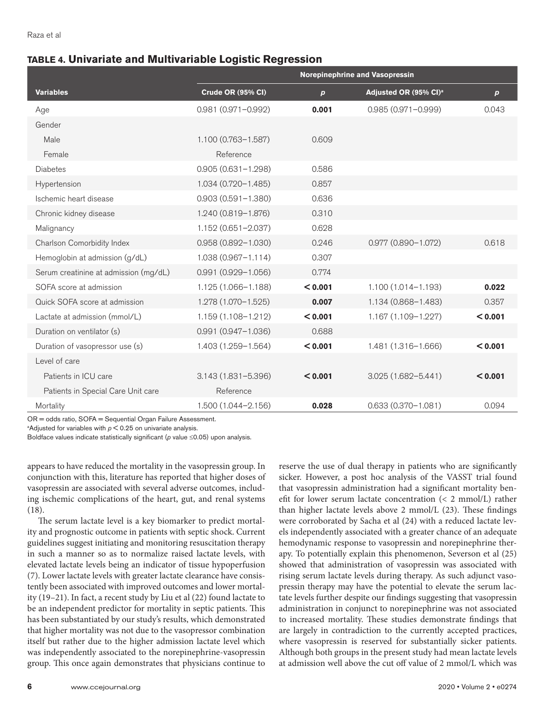# **TABLE 4. Univariate and Multivariable Logistic Regression**

|                                       | <b>Norepinephrine and Vasopressin</b> |                  |                                   |                  |
|---------------------------------------|---------------------------------------|------------------|-----------------------------------|------------------|
| <b>Variables</b>                      | Crude OR (95% CI)                     | $\boldsymbol{p}$ | Adjusted OR (95% CI) <sup>a</sup> | $\boldsymbol{p}$ |
| Age                                   | $0.981(0.971 - 0.992)$                | 0.001            | $0.985(0.971 - 0.999)$            | 0.043            |
| Gender                                |                                       |                  |                                   |                  |
| Male                                  | 1.100 (0.763-1.587)                   | 0.609            |                                   |                  |
| Female                                | Reference                             |                  |                                   |                  |
| <b>Diabetes</b>                       | $0.905(0.631 - 1.298)$                | 0.586            |                                   |                  |
| Hypertension                          | 1.034 (0.720-1.485)                   | 0.857            |                                   |                  |
| Ischemic heart disease                | $0.903(0.591 - 1.380)$                | 0.636            |                                   |                  |
| Chronic kidney disease                | 1.240 (0.819-1.876)                   | 0.310            |                                   |                  |
| Malignancy                            | 1.152 (0.651-2.037)                   | 0.628            |                                   |                  |
| Charlson Comorbidity Index            | $0.958(0.892 - 1.030)$                | 0.246            | $0.977(0.890 - 1.072)$            | 0.618            |
| Hemoglobin at admission (g/dL)        | $1.038(0.967 - 1.114)$                | 0.307            |                                   |                  |
| Serum creatinine at admission (mg/dL) | $0.991(0.929 - 1.056)$                | 0.774            |                                   |                  |
| SOFA score at admission               | $1.125(1.066 - 1.188)$                | < 0.001          | $1.100(1.014 - 1.193)$            | 0.022            |
| Quick SOFA score at admission         | 1.278 (1.070-1.525)                   | 0.007            | 1.134 (0.868-1.483)               | 0.357            |
| Lactate at admission (mmol/L)         | 1.159 (1.108-1.212)                   | < 0.001          | 1.167 (1.109-1.227)               | < 0.001          |
| Duration on ventilator (s)            | $0.991(0.947 - 1.036)$                | 0.688            |                                   |                  |
| Duration of vasopressor use (s)       | 1.403 (1.259-1.564)                   | < 0.001          | 1.481 (1.316-1.666)               | < 0.001          |
| Level of care                         |                                       |                  |                                   |                  |
| Patients in ICU care                  | $3.143(1.831 - 5.396)$                | < 0.001          | $3.025(1.682 - 5.441)$            | < 0.001          |
| Patients in Special Care Unit care    | Reference                             |                  |                                   |                  |
| Mortality                             | 1.500 (1.044-2.156)                   | 0.028            | $0.633(0.370 - 1.081)$            | 0.094            |

OR = odds ratio, SOFA = Sequential Organ Failure Assessment.

<sup>a</sup>Adjusted for variables with  $p < 0.25$  on univariate analysis.

Boldface values indicate statistically significant (*p* value ≤0.05) upon analysis.

appears to have reduced the mortality in the vasopressin group. In conjunction with this, literature has reported that higher doses of vasopressin are associated with several adverse outcomes, including ischemic complications of the heart, gut, and renal systems (18).

The serum lactate level is a key biomarker to predict mortality and prognostic outcome in patients with septic shock. Current guidelines suggest initiating and monitoring resuscitation therapy in such a manner so as to normalize raised lactate levels, with elevated lactate levels being an indicator of tissue hypoperfusion (7). Lower lactate levels with greater lactate clearance have consistently been associated with improved outcomes and lower mortality (19–21). In fact, a recent study by Liu et al (22) found lactate to be an independent predictor for mortality in septic patients. This has been substantiated by our study's results, which demonstrated that higher mortality was not due to the vasopressor combination itself but rather due to the higher admission lactate level which was independently associated to the norepinephrine-vasopressin group. This once again demonstrates that physicians continue to reserve the use of dual therapy in patients who are significantly sicker. However, a post hoc analysis of the VASST trial found that vasopressin administration had a significant mortality benefit for lower serum lactate concentration (< 2 mmol/L) rather than higher lactate levels above 2 mmol/L (23). These findings were corroborated by Sacha et al (24) with a reduced lactate levels independently associated with a greater chance of an adequate hemodynamic response to vasopressin and norepinephrine therapy. To potentially explain this phenomenon, Severson et al (25) showed that administration of vasopressin was associated with rising serum lactate levels during therapy. As such adjunct vasopressin therapy may have the potential to elevate the serum lactate levels further despite our findings suggesting that vasopressin administration in conjunct to norepinephrine was not associated to increased mortality. These studies demonstrate findings that are largely in contradiction to the currently accepted practices, where vasopressin is reserved for substantially sicker patients. Although both groups in the present study had mean lactate levels at admission well above the cut off value of 2 mmol/L which was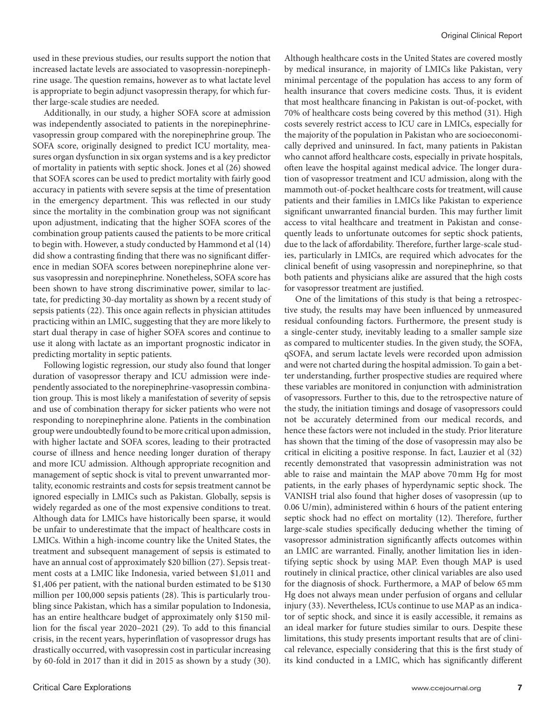used in these previous studies, our results support the notion that increased lactate levels are associated to vasopressin-norepinephrine usage. The question remains, however as to what lactate level is appropriate to begin adjunct vasopressin therapy, for which further large-scale studies are needed.

Additionally, in our study, a higher SOFA score at admission was independently associated to patients in the norepinephrinevasopressin group compared with the norepinephrine group. The SOFA score, originally designed to predict ICU mortality, measures organ dysfunction in six organ systems and is a key predictor of mortality in patients with septic shock. Jones et al (26) showed that SOFA scores can be used to predict mortality with fairly good accuracy in patients with severe sepsis at the time of presentation in the emergency department. This was reflected in our study since the mortality in the combination group was not significant upon adjustment, indicating that the higher SOFA scores of the combination group patients caused the patients to be more critical to begin with. However, a study conducted by Hammond et al (14) did show a contrasting finding that there was no significant difference in median SOFA scores between norepinephrine alone versus vasopressin and norepinephrine. Nonetheless, SOFA score has been shown to have strong discriminative power, similar to lactate, for predicting 30-day mortality as shown by a recent study of sepsis patients (22). This once again reflects in physician attitudes practicing within an LMIC, suggesting that they are more likely to start dual therapy in case of higher SOFA scores and continue to use it along with lactate as an important prognostic indicator in predicting mortality in septic patients.

Following logistic regression, our study also found that longer duration of vasopressor therapy and ICU admission were independently associated to the norepinephrine-vasopressin combination group. This is most likely a manifestation of severity of sepsis and use of combination therapy for sicker patients who were not responding to norepinephrine alone. Patients in the combination group were undoubtedly found to be more critical upon admission, with higher lactate and SOFA scores, leading to their protracted course of illness and hence needing longer duration of therapy and more ICU admission. Although appropriate recognition and management of septic shock is vital to prevent unwarranted mortality, economic restraints and costs for sepsis treatment cannot be ignored especially in LMICs such as Pakistan. Globally, sepsis is widely regarded as one of the most expensive conditions to treat. Although data for LMICs have historically been sparse, it would be unfair to underestimate that the impact of healthcare costs in LMICs. Within a high-income country like the United States, the treatment and subsequent management of sepsis is estimated to have an annual cost of approximately \$20 billion (27). Sepsis treatment costs at a LMIC like Indonesia, varied between \$1,011 and \$1,406 per patient, with the national burden estimated to be \$130 million per 100,000 sepsis patients (28). This is particularly troubling since Pakistan, which has a similar population to Indonesia, has an entire healthcare budget of approximately only \$150 million for the fiscal year 2020–2021 (29). To add to this financial crisis, in the recent years, hyperinflation of vasopressor drugs has drastically occurred, with vasopressin cost in particular increasing by 60-fold in 2017 than it did in 2015 as shown by a study (30). Although healthcare costs in the United States are covered mostly by medical insurance, in majority of LMICs like Pakistan, very minimal percentage of the population has access to any form of health insurance that covers medicine costs. Thus, it is evident that most healthcare financing in Pakistan is out-of-pocket, with 70% of healthcare costs being covered by this method (31). High costs severely restrict access to ICU care in LMICs, especially for the majority of the population in Pakistan who are socioeconomically deprived and uninsured. In fact, many patients in Pakistan who cannot afford healthcare costs, especially in private hospitals, often leave the hospital against medical advice. The longer duration of vasopressor treatment and ICU admission, along with the mammoth out-of-pocket healthcare costs for treatment, will cause patients and their families in LMICs like Pakistan to experience significant unwarranted financial burden. This may further limit access to vital healthcare and treatment in Pakistan and consequently leads to unfortunate outcomes for septic shock patients, due to the lack of affordability. Therefore, further large-scale studies, particularly in LMICs, are required which advocates for the clinical benefit of using vasopressin and norepinephrine, so that both patients and physicians alike are assured that the high costs for vasopressor treatment are justified.

One of the limitations of this study is that being a retrospective study, the results may have been influenced by unmeasured residual confounding factors. Furthermore, the present study is a single-center study, inevitably leading to a smaller sample size as compared to multicenter studies. In the given study, the SOFA, qSOFA, and serum lactate levels were recorded upon admission and were not charted during the hospital admission. To gain a better understanding, further prospective studies are required where these variables are monitored in conjunction with administration of vasopressors. Further to this, due to the retrospective nature of the study, the initiation timings and dosage of vasopressors could not be accurately determined from our medical records, and hence these factors were not included in the study. Prior literature has shown that the timing of the dose of vasopressin may also be critical in eliciting a positive response. In fact, Lauzier et al (32) recently demonstrated that vasopressin administration was not able to raise and maintain the MAP above 70mm Hg for most patients, in the early phases of hyperdynamic septic shock. The VANISH trial also found that higher doses of vasopressin (up to 0.06 U/min), administered within 6 hours of the patient entering septic shock had no effect on mortality (12). Therefore, further large-scale studies specifically deducing whether the timing of vasopressor administration significantly affects outcomes within an LMIC are warranted. Finally, another limitation lies in identifying septic shock by using MAP. Even though MAP is used routinely in clinical practice, other clinical variables are also used for the diagnosis of shock. Furthermore, a MAP of below 65mm Hg does not always mean under perfusion of organs and cellular injury (33). Nevertheless, ICUs continue to use MAP as an indicator of septic shock, and since it is easily accessible, it remains as an ideal marker for future studies similar to ours. Despite these limitations, this study presents important results that are of clinical relevance, especially considering that this is the first study of its kind conducted in a LMIC, which has significantly different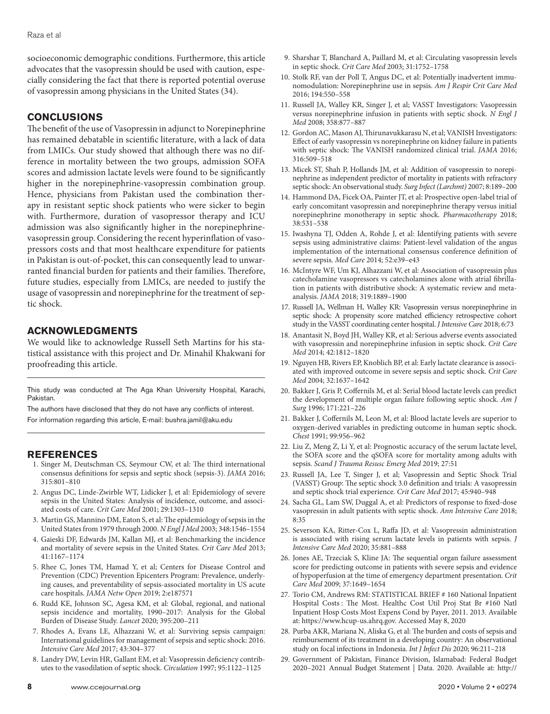socioeconomic demographic conditions. Furthermore, this article advocates that the vasopressin should be used with caution, especially considering the fact that there is reported potential overuse of vasopressin among physicians in the United States (34).

#### **CONCLUSIONS**

The benefit of the use of Vasopressin in adjunct to Norepinephrine has remained debatable in scientific literature, with a lack of data from LMICs. Our study showed that although there was no difference in mortality between the two groups, admission SOFA scores and admission lactate levels were found to be significantly higher in the norepinephrine-vasopressin combination group. Hence, physicians from Pakistan used the combination therapy in resistant septic shock patients who were sicker to begin with. Furthermore, duration of vasopressor therapy and ICU admission was also significantly higher in the norepinephrinevasopressin group. Considering the recent hyperinflation of vasopressors costs and that most healthcare expenditure for patients in Pakistan is out-of-pocket, this can consequently lead to unwarranted financial burden for patients and their families. Therefore, future studies, especially from LMICs, are needed to justify the usage of vasopressin and norepinephrine for the treatment of septic shock.

#### **ACKNOWLEDGMENTS**

We would like to acknowledge Russell Seth Martins for his statistical assistance with this project and Dr. Minahil Khakwani for proofreading this article.

This study was conducted at The Aga Khan University Hospital, Karachi, Pakistan.

The authors have disclosed that they do not have any conflicts of interest. For information regarding this article, E-mail: [bushra.jamil@aku.edu](mailto:bushra.jamil@aku.edu)

#### **REFERENCES**

- 1. Singer M, Deutschman CS, Seymour CW, et al: The third international consensus definitions for sepsis and septic shock (sepsis-3). *JAMA* 2016; 315:801–810
- 2. Angus DC, Linde-Zwirble WT, Lidicker J, et al: Epidemiology of severe sepsis in the United States: Analysis of incidence, outcome, and associated costs of care. *Crit Care Med* 2001; 29:1303–1310
- 3. Martin GS, Mannino DM, Eaton S, et al: The epidemiology of sepsis in the United States from 1979 through 2000. *N Engl J Med* 2003; 348:1546–1554
- 4. Gaieski DF, Edwards JM, Kallan MJ, et al: Benchmarking the incidence and mortality of severe sepsis in the United States. *Crit Care Med* 2013; 41:1167–1174
- 5. Rhee C, Jones TM, Hamad Y, et al; Centers for Disease Control and Prevention (CDC) Prevention Epicenters Program: Prevalence, underlying causes, and preventability of sepsis-associated mortality in US acute care hospitals. *JAMA Netw Open* 2019; 2:e187571
- 6. Rudd KE, Johnson SC, Agesa KM, et al: Global, regional, and national sepsis incidence and mortality, 1990–2017: Analysis for the Global Burden of Disease Study. *Lancet* 2020; 395:200–211
- 7. Rhodes A, Evans LE, Alhazzani W, et al: Surviving sepsis campaign: International guidelines for management of sepsis and septic shock: 2016. *Intensive Care Med* 2017; 43:304–377
- 8. Landry DW, Levin HR, Gallant EM, et al: Vasopressin deficiency contributes to the vasodilation of septic shock. *Circulation* 1997; 95:1122–1125
- 9. Sharshar T, Blanchard A, Paillard M, et al: Circulating vasopressin levels in septic shock. *Crit Care Med* 2003; 31:1752–1758
- 10. Stolk RF, van der Poll T, Angus DC, et al: Potentially inadvertent immunomodulation: Norepinephrine use in sepsis. *Am J Respir Crit Care Med* 2016; 194:550–558
- 11. Russell JA, Walley KR, Singer J, et al; VASST Investigators: Vasopressin versus norepinephrine infusion in patients with septic shock. *N Engl J Med* 2008; 358:877–887
- 12. Gordon AC, Mason AJ, Thirunavukkarasu N, et al; VANISH Investigators: Effect of early vasopressin vs norepinephrine on kidney failure in patients with septic shock: The VANISH randomized clinical trial. *JAMA* 2016; 316:509–518
- 13. Micek ST, Shah P, Hollands JM, et al: Addition of vasopressin to norepinephrine as independent predictor of mortality in patients with refractory septic shock: An observational study. *Surg Infect (Larchmt)* 2007; 8:189–200
- 14. Hammond DA, Ficek OA, Painter JT, et al: Prospective open-label trial of early concomitant vasopressin and norepinephrine therapy versus initial norepinephrine monotherapy in septic shock. *Pharmacotherapy* 2018; 38:531–538
- 15. Iwashyna TJ, Odden A, Rohde J, et al: Identifying patients with severe sepsis using administrative claims: Patient-level validation of the angus implementation of the international consensus conference definition of severe sepsis. *Med Care* 2014; 52:e39–e43
- 16. McIntyre WF, Um KJ, Alhazzani W, et al: Association of vasopressin plus catecholamine vasopressors vs catecholamines alone with atrial fibrillation in patients with distributive shock: A systematic review and metaanalysis. *JAMA* 2018; 319:1889–1900
- 17. Russell JA, Wellman H, Walley KR: Vasopressin versus norepinephrine in septic shock: A propensity score matched efficiency retrospective cohort study in the VASST coordinating center hospital. *J Intensive Care* 2018; 6:73
- 18. Anantasit N, Boyd JH, Walley KR, et al: Serious adverse events associated with vasopressin and norepinephrine infusion in septic shock. *Crit Care Med* 2014; 42:1812–1820
- 19. Nguyen HB, Rivers EP, Knoblich BP, et al: Early lactate clearance is associated with improved outcome in severe sepsis and septic shock. *Crit Care Med* 2004; 32:1637–1642
- 20. Bakker J, Gris P, Coffernils M, et al: Serial blood lactate levels can predict the development of multiple organ failure following septic shock. *Am J Surg* 1996; 171:221–226
- 21. Bakker J, Coffernils M, Leon M, et al: Blood lactate levels are superior to oxygen-derived variables in predicting outcome in human septic shock. *Chest* 1991; 99:956–962
- 22. Liu Z, Meng Z, Li Y, et al: Prognostic accuracy of the serum lactate level, the SOFA score and the qSOFA score for mortality among adults with sepsis. *Scand J Trauma Resusc Emerg Med* 2019; 27:51
- 23. Russell JA, Lee T, Singer J, et al; Vasopressin and Septic Shock Trial (VASST) Group: The septic shock 3.0 definition and trials: A vasopressin and septic shock trial experience. *Crit Care Med* 2017; 45:940–948
- 24. Sacha GL, Lam SW, Duggal A, et al: Predictors of response to fixed-dose vasopressin in adult patients with septic shock. *Ann Intensive Care* 2018; 8:35
- 25. Severson KA, Ritter-Cox L, Raffa JD, et al: Vasopressin administration is associated with rising serum lactate levels in patients with sepsis. *J Intensive Care Med* 2020; 35:881–888
- 26. Jones AE, Trzeciak S, Kline JA: The sequential organ failure assessment score for predicting outcome in patients with severe sepsis and evidence of hypoperfusion at the time of emergency department presentation. *Crit Care Med* 2009; 37:1649–1654
- 27. Torio CM, Andrews RM: STATISTICAL BRIEF # 160 National Inpatient Hospital Costs : The Most. Healthc Cost Util Proj Stat Br #160 Natl Inpatient Hosp Costs Most Expens Cond by Payer, 2011. 2013. Available at: https://www.hcup-us.ahrq.gov. Accessed May 8, 2020
- 28. Purba AKR, Mariana N, Aliska G, et al: The burden and costs of sepsis and reimbursement of its treatment in a developing country: An observational study on focal infections in Indonesia. *Int J Infect Dis* 2020; 96:211–218
- 29. Government of Pakistan, Finance Division, Islamabad: Federal Budget 2020–2021 Annual Budget Statement | Data. 2020. Available at: [http://](http://www.finance.gov.pk/budget/Annual_budget_Statement_English_202021.pdf)